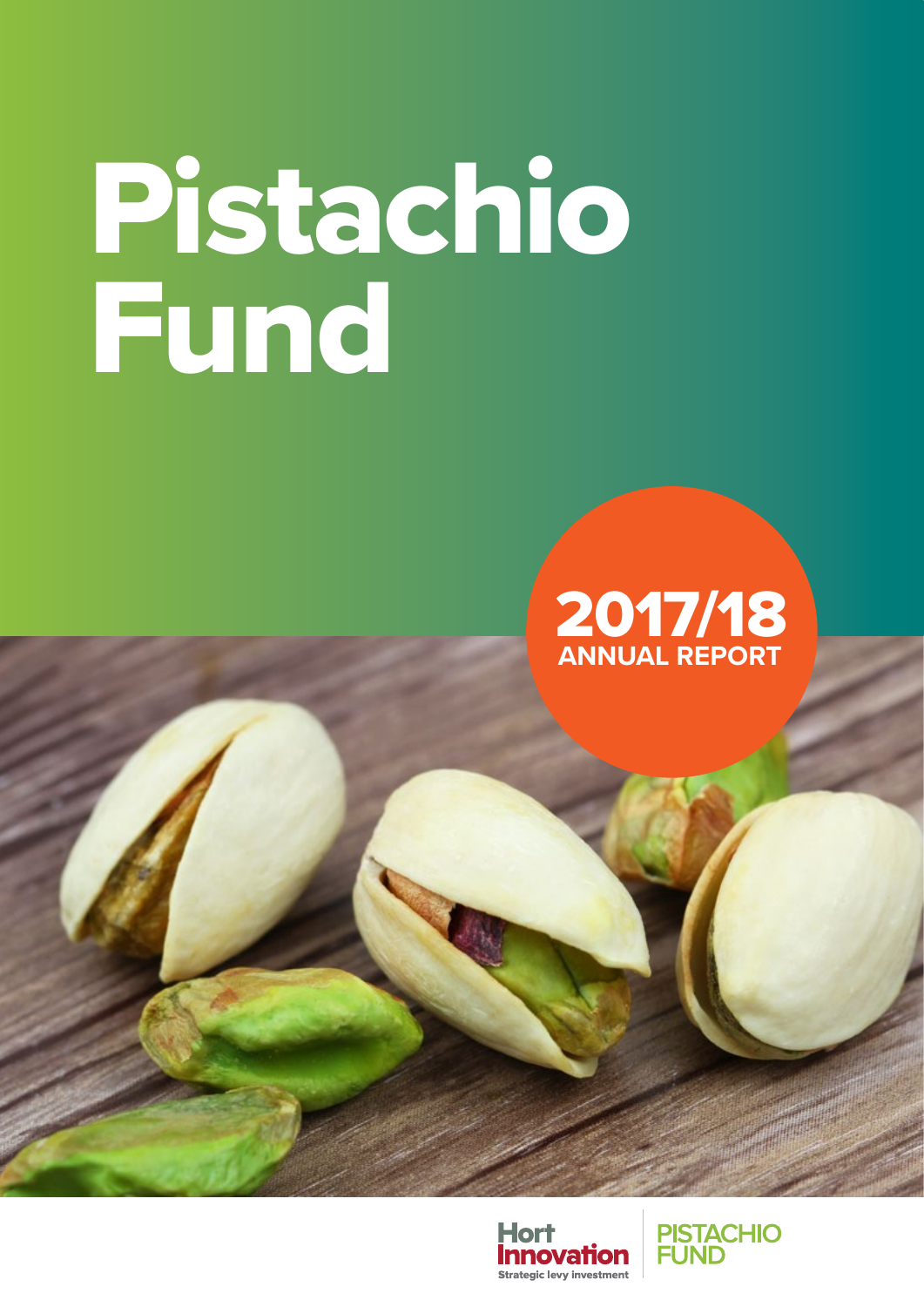# Pistachio Fund





**PISTACHIO<br>FUND**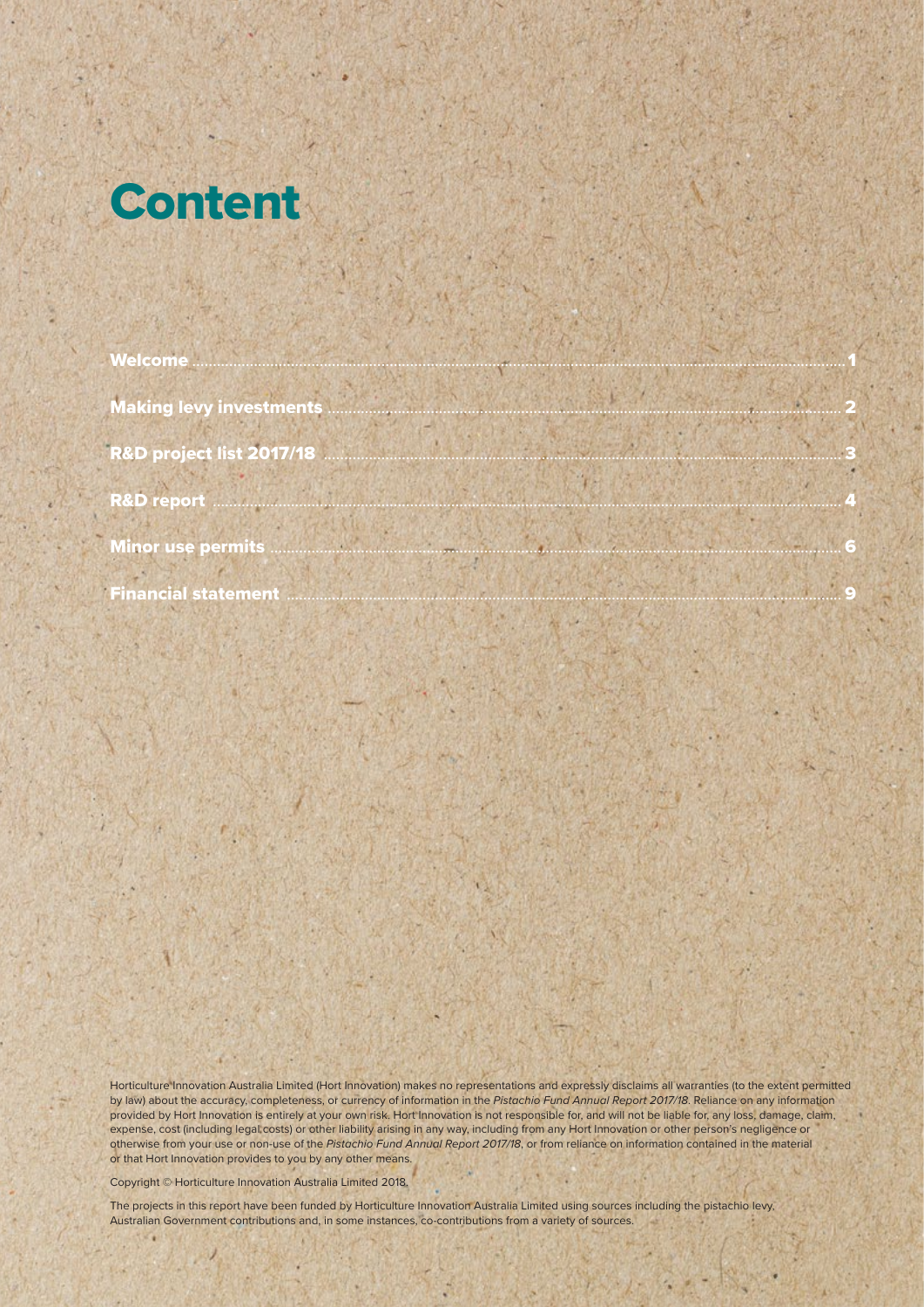

| Welcome <u>with the community of the community of the community of the community of the community of the community of the community of the community of the community of the community of the community of the community of the </u> |  |
|--------------------------------------------------------------------------------------------------------------------------------------------------------------------------------------------------------------------------------------|--|
|                                                                                                                                                                                                                                      |  |
|                                                                                                                                                                                                                                      |  |
|                                                                                                                                                                                                                                      |  |
|                                                                                                                                                                                                                                      |  |
|                                                                                                                                                                                                                                      |  |
|                                                                                                                                                                                                                                      |  |

Horticulture Innovation Australia Limited (Hort Innovation) makes no representations and expressly disclaims all warranties (to the extent permitted by law) about the accuracy, completeness, or currency of information in the *Pistachio Fund Annual Report 2017/18*. Reliance on any information provided by Hort Innovation is entirely at your own risk. Hort Innovation is not responsible for, and will not be liable for, any loss, damage, claim, expense, cost (including legal costs) or other liability arising in any way, including from any Hort Innovation or other person's negligence or otherwise from your use or non-use of the *Pistachio Fund Annual Report 2017/18*, or from reliance on information contained in the material or that Hort Innovation provides to you by any other means.

is the second contract of the second contract of the second contract of the second contract of the second contract of the second contract of the second contract of the second contract of the second contract of the second c

Copyright © Horticulture Innovation Australia Limited 2018.

The projects in this report have been funded by Horticulture Innovation Australia Limited using sources including the pistachio levy, Australian Government contributions and, in some instances, co-contributions from a variety of sources.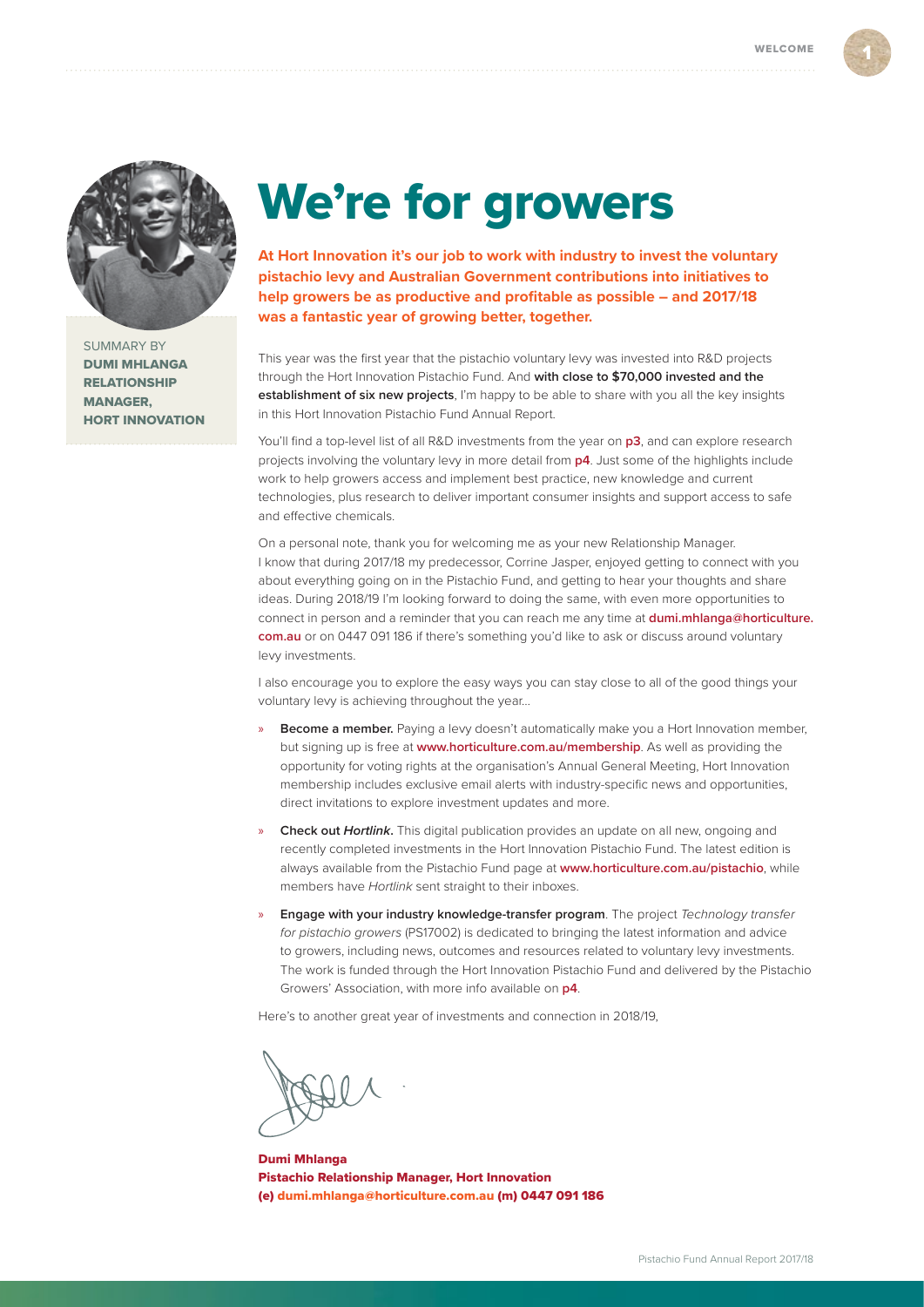<span id="page-2-0"></span>

SUMMARY BY DUMI MHLANGA RELATIONSHIP MANAGER, HORT INNOVATION

# We're for growers

**At Hort Innovation it's our job to work with industry to invest the voluntary pistachio levy and Australian Government contributions into initiatives to help growers be as productive and profitable as possible – and 2017/18 was a fantastic year of growing better, together.** 

This year was the first year that the pistachio voluntary levy was invested into R&D projects through the Hort Innovation Pistachio Fund. And **with close to \$70,000 invested and the establishment of six new projects**, I'm happy to be able to share with you all the key insights in this Hort Innovation Pistachio Fund Annual Report.

You'll find a top-level list of all R&D investments from the year on **[p3](#page-4-0)**, and can explore research projects involving the voluntary levy in more detail from **[p4](#page-5-0)**. Just some of the highlights include work to help growers access and implement best practice, new knowledge and current technologies, plus research to deliver important consumer insights and support access to safe and effective chemicals.

On a personal note, thank you for welcoming me as your new Relationship Manager. I know that during 2017/18 my predecessor, Corrine Jasper, enjoyed getting to connect with you about everything going on in the Pistachio Fund, and getting to hear your thoughts and share ideas. During 2018/19 I'm looking forward to doing the same, with even more opportunities to connect in person and a reminder that you can reach me any time at **[dumi.mhlanga@horticulture.](mailto:dumi.mhlanga%40horticulture.com.au?subject=) [com.au](mailto:dumi.mhlanga%40horticulture.com.au?subject=)** or on 0447 091 186 if there's something you'd like to ask or discuss around voluntary levy investments.

I also encourage you to explore the easy ways you can stay close to all of the good things your voluntary levy is achieving throughout the year…

- **Become a member.** Paying a levy doesn't automatically make you a Hort Innovation member, but signing up is free at **[www.horticulture.com.au/membership](http://www.horticulture.com.au/membership)**. As well as providing the opportunity for voting rights at the organisation's Annual General Meeting, Hort Innovation membership includes exclusive email alerts with industry-specific news and opportunities, direct invitations to explore investment updates and more.
- » **Check out** *Hortlink***.** This digital publication provides an update on all new, ongoing and recently completed investments in the Hort Innovation Pistachio Fund. The latest edition is always available from the Pistachio Fund page at **[www.horticulture.com.au/pistachio](http://www.horticulture.com.au/pistachio)**, while members have *Hortlink* sent straight to their inboxes.
- » **Engage with your industry knowledge-transfer program**. The project *Technology transfer for pistachio growers* (PS17002) is dedicated to bringing the latest information and advice to growers, including news, outcomes and resources related to voluntary levy investments. The work is funded through the Hort Innovation Pistachio Fund and delivered by the Pistachio Growers' Association, with more info available on **[p4](#page-5-0)**.

Here's to another great year of investments and connection in 2018/19,

Dumi Mhlanga Pistachio Relationship Manager, Hort Innovation (e) [dumi.mhlanga@horticulture.com.au](mailto:dumi.mhlanga%40horticulture.com.au?subject=) (m) 0447 091 186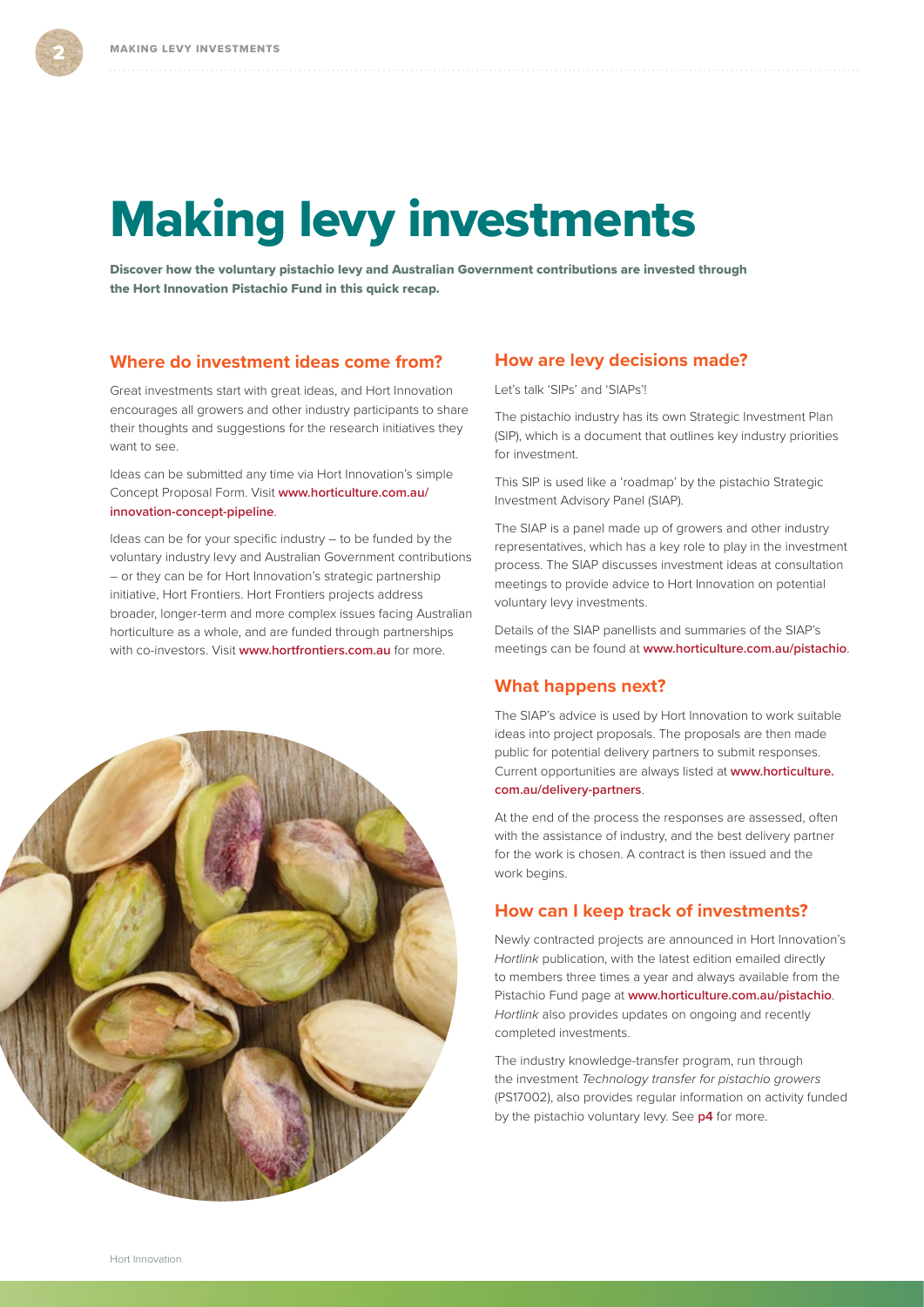# <span id="page-3-0"></span>Making levy investments

Discover how the voluntary pistachio levy and Australian Government contributions are invested through the Hort Innovation Pistachio Fund in this quick recap.

#### **Where do investment ideas come from?**

Great investments start with great ideas, and Hort Innovation encourages all growers and other industry participants to share their thoughts and suggestions for the research initiatives they want to see.

Ideas can be submitted any time via Hort Innovation's simple Concept Proposal Form. Visit **[www.horticulture.com.au/](http://www.horticulture.com.au/innovation-concept-pipeline) [innovation-concept-pipeline](http://www.horticulture.com.au/innovation-concept-pipeline)**.

Ideas can be for your specific industry – to be funded by the voluntary industry levy and Australian Government contributions – or they can be for Hort Innovation's strategic partnership initiative, Hort Frontiers. Hort Frontiers projects address broader, longer-term and more complex issues facing Australian horticulture as a whole, and are funded through partnerships with co-investors. Visit **[www.hortfrontiers.com.au](http://www.hortfrontiers.com.au)** for more.

#### **How are levy decisions made?**

Let's talk 'SIPs' and 'SIAPs'!

The pistachio industry has its own Strategic Investment Plan (SIP), which is a document that outlines key industry priorities for investment.

This SIP is used like a 'roadmap' by the pistachio Strategic Investment Advisory Panel (SIAP).

The SIAP is a panel made up of growers and other industry representatives, which has a key role to play in the investment process. The SIAP discusses investment ideas at consultation meetings to provide advice to Hort Innovation on potential voluntary levy investments.

Details of the SIAP panellists and summaries of the SIAP's meetings can be found at **[www.horticulture.com.au/pistachio](http://www.horticulture.com.au/pistachio)**.

#### **What happens next?**

The SIAP's advice is used by Hort Innovation to work suitable ideas into project proposals. The proposals are then made public for potential delivery partners to submit responses. Current opportunities are always listed at **[www.horticulture.](http://www.horticulture.com.au/delivery-partners) [com.au/delivery-partners](http://www.horticulture.com.au/delivery-partners)**.

At the end of the process the responses are assessed, often with the assistance of industry, and the best delivery partner for the work is chosen. A contract is then issued and the work begins.

#### **How can I keep track of investments?**

Newly contracted projects are announced in Hort Innovation's *Hortlink* publication, with the latest edition emailed directly to members three times a year and always available from the Pistachio Fund page at **[www.horticulture.com.au/pistachio](http://www.horticulture.com.au/pistachio)**. *Hortlink* also provides updates on ongoing and recently completed investments.

The industry knowledge-transfer program, run through the investment *Technology transfer for pistachio growers* (PS17002), also provides regular information on activity funded by the pistachio voluntary levy. See **[p4](#page-5-0)** for more.

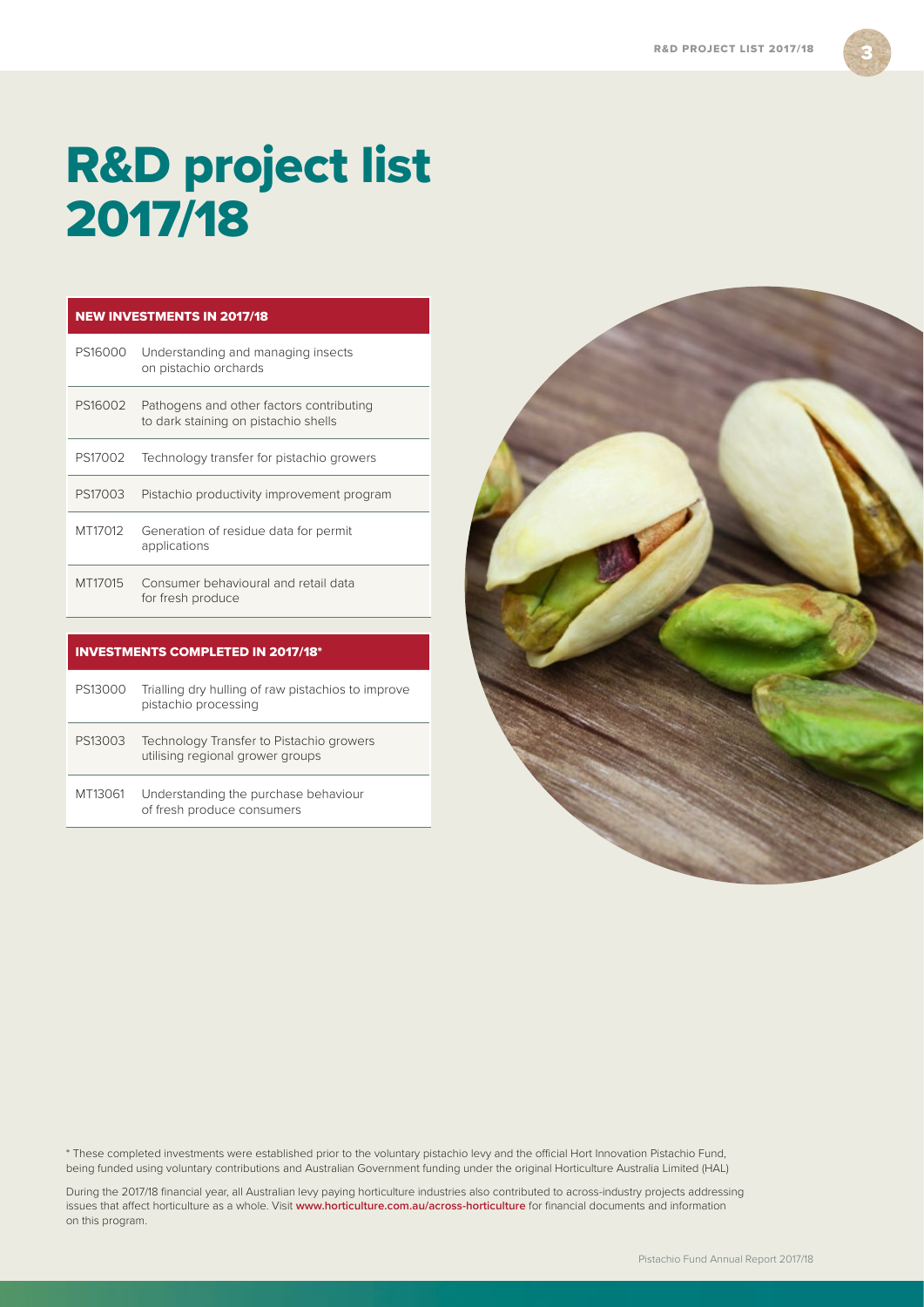3

# <span id="page-4-0"></span>R&D project list 2017/18

| <b>NEW INVESTMENTS IN 2017/18</b> |                                                                                  |  |  |  |  |
|-----------------------------------|----------------------------------------------------------------------------------|--|--|--|--|
| PS16000                           | Understanding and managing insects<br>on pistachio orchards                      |  |  |  |  |
| PS16002                           | Pathogens and other factors contributing<br>to dark staining on pistachio shells |  |  |  |  |
| PS17002                           | Technology transfer for pistachio growers                                        |  |  |  |  |
| PS17003                           | Pistachio productivity improvement program                                       |  |  |  |  |
| MT17012                           | Generation of residue data for permit<br>applications                            |  |  |  |  |
| MT17015                           | Consumer behavioural and retail data<br>for fresh produce                        |  |  |  |  |
|                                   |                                                                                  |  |  |  |  |

| <b>INVESTMENTS COMPLETED IN 2017/18*</b> |                                                                              |  |  |  |  |  |
|------------------------------------------|------------------------------------------------------------------------------|--|--|--|--|--|
| PS13000                                  | Trialling dry hulling of raw pistachios to improve<br>pistachio processing   |  |  |  |  |  |
| PS13003                                  | Technology Transfer to Pistachio growers<br>utilising regional grower groups |  |  |  |  |  |
| MT13061                                  | Understanding the purchase behaviour<br>of fresh produce consumers           |  |  |  |  |  |



\* These completed investments were established prior to the voluntary pistachio levy and the official Hort Innovation Pistachio Fund, being funded using voluntary contributions and Australian Government funding under the original Horticulture Australia Limited (HAL)

During the 2017/18 financial year, all Australian levy paying horticulture industries also contributed to across-industry projects addressing issues that affect horticulture as a whole. Visit **[www.horticulture.com.au/across-horticulture](http://www.horticulture.com.au/across-horticulture)** for financial documents and information on this program.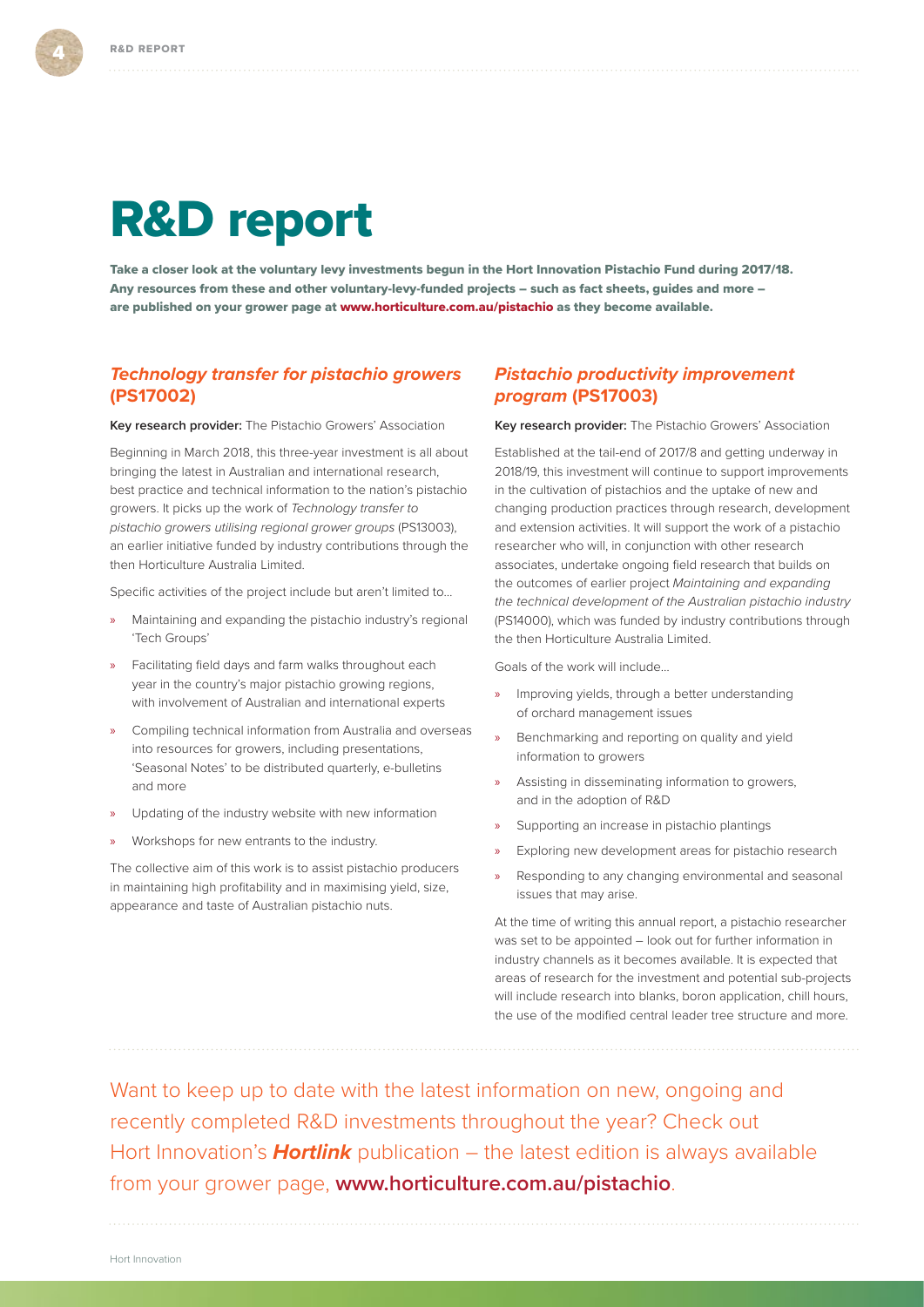# <span id="page-5-0"></span>R&D report

Take a closer look at the voluntary levy investments begun in the Hort Innovation Pistachio Fund during 2017/18. Any resources from these and other voluntary-levy-funded projects – such as fact sheets, guides and more – are published on your grower page at [www.horticulture.com.au/pistachio](http://www.horticulture.com.au/pistachio) as they become available.

### *Technology transfer for pistachio growers*  **(PS17002)**

**Key research provider:** The Pistachio Growers' Association

Beginning in March 2018, this three-year investment is all about bringing the latest in Australian and international research, best practice and technical information to the nation's pistachio growers. It picks up the work of *Technology transfer to pistachio growers utilising regional grower groups* (PS13003), an earlier initiative funded by industry contributions through the then Horticulture Australia Limited.

Specific activities of the project include but aren't limited to…

- » Maintaining and expanding the pistachio industry's regional 'Tech Groups'
- » Facilitating field days and farm walks throughout each year in the country's major pistachio growing regions, with involvement of Australian and international experts
- » Compiling technical information from Australia and overseas into resources for growers, including presentations, 'Seasonal Notes' to be distributed quarterly, e-bulletins and more
- » Updating of the industry website with new information
- » Workshops for new entrants to the industry.

The collective aim of this work is to assist pistachio producers in maintaining high profitability and in maximising yield, size, appearance and taste of Australian pistachio nuts.

### *Pistachio productivity improvement program* **(PS17003)**

**Key research provider:** The Pistachio Growers' Association

Established at the tail-end of 2017/8 and getting underway in 2018/19, this investment will continue to support improvements in the cultivation of pistachios and the uptake of new and changing production practices through research, development and extension activities. It will support the work of a pistachio researcher who will, in conjunction with other research associates, undertake ongoing field research that builds on the outcomes of earlier project *Maintaining and expanding the technical development of the Australian pistachio industry* (PS14000), which was funded by industry contributions through the then Horticulture Australia Limited.

Goals of the work will include…

- » Improving yields, through a better understanding of orchard management issues
- » Benchmarking and reporting on quality and yield information to growers
- » Assisting in disseminating information to growers, and in the adoption of R&D
- » Supporting an increase in pistachio plantings
- » Exploring new development areas for pistachio research
- » Responding to any changing environmental and seasonal issues that may arise.

At the time of writing this annual report, a pistachio researcher was set to be appointed – look out for further information in industry channels as it becomes available. It is expected that areas of research for the investment and potential sub-projects will include research into blanks, boron application, chill hours, the use of the modified central leader tree structure and more.

Want to keep up to date with the latest information on new, ongoing and recently completed R&D investments throughout the year? Check out Hort Innovation's *Hortlink* publication – the latest edition is always available from your grower page, **[www.horticulture.com.au/pistachio](http://www.horticulture.com.au/pistachio)**.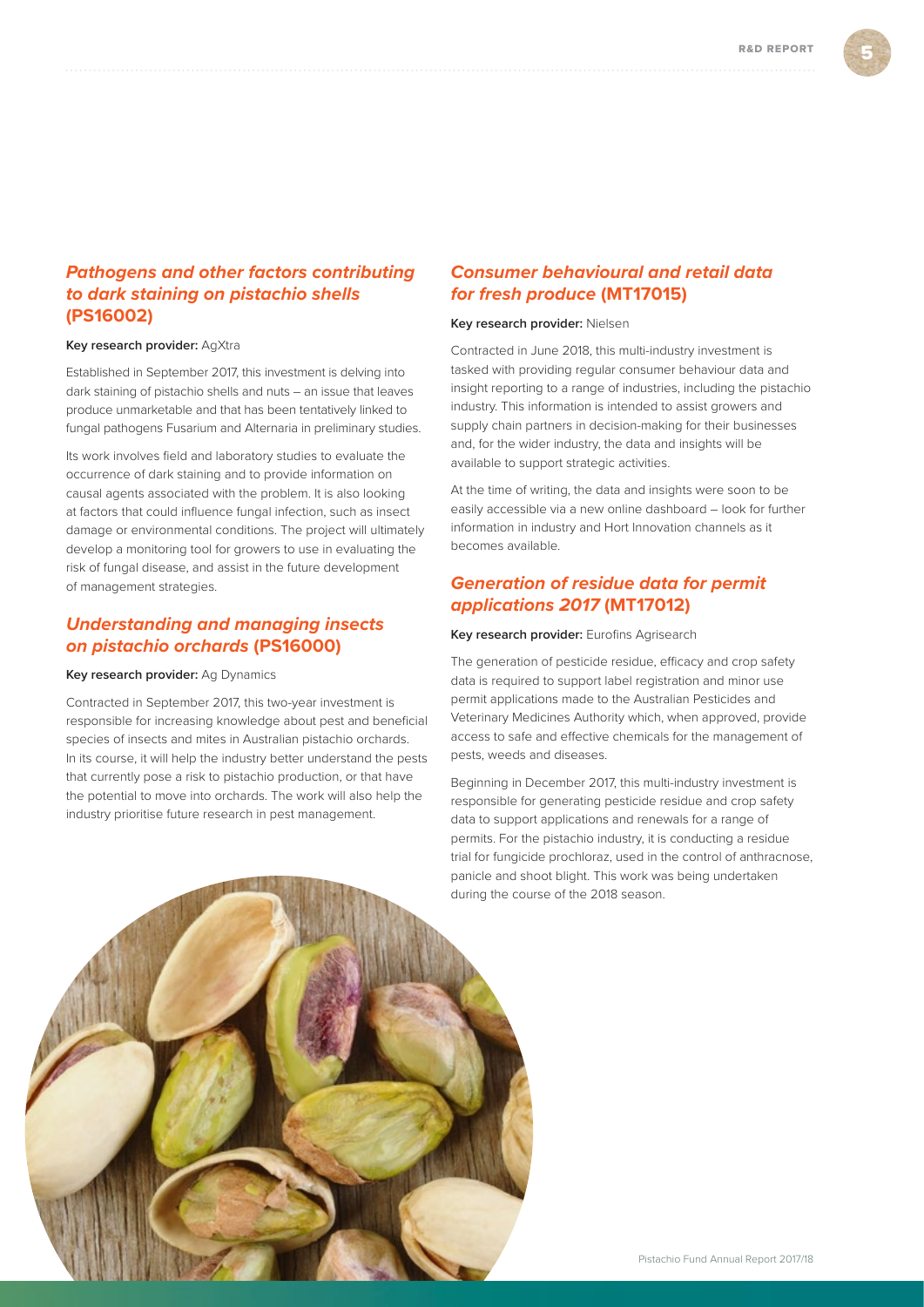## *Pathogens and other factors contributing to dark staining on pistachio shells*  **(PS16002)**

#### **Key research provider:** AgXtra

Established in September 2017, this investment is delving into dark staining of pistachio shells and nuts – an issue that leaves produce unmarketable and that has been tentatively linked to fungal pathogens Fusarium and Alternaria in preliminary studies.

Its work involves field and laboratory studies to evaluate the occurrence of dark staining and to provide information on causal agents associated with the problem. It is also looking at factors that could influence fungal infection, such as insect damage or environmental conditions. The project will ultimately develop a monitoring tool for growers to use in evaluating the risk of fungal disease, and assist in the future development of management strategies.

### *Understanding and managing insects on pistachio orchards* **(PS16000)**

#### **Key research provider:** Ag Dynamics

Contracted in September 2017, this two-year investment is responsible for increasing knowledge about pest and beneficial species of insects and mites in Australian pistachio orchards. In its course, it will help the industry better understand the pests that currently pose a risk to pistachio production, or that have the potential to move into orchards. The work will also help the industry prioritise future research in pest management.

### *Consumer behavioural and retail data for fresh produce* **(MT17015)**

#### **Key research provider:** Nielsen

Contracted in June 2018, this multi-industry investment is tasked with providing regular consumer behaviour data and insight reporting to a range of industries, including the pistachio industry. This information is intended to assist growers and supply chain partners in decision-making for their businesses and, for the wider industry, the data and insights will be available to support strategic activities.

At the time of writing, the data and insights were soon to be easily accessible via a new online dashboard – look for further information in industry and Hort Innovation channels as it becomes available.

### *Generation of residue data for permit applications 2017* **(MT17012)**

**Key research provider:** Eurofins Agrisearch

The generation of pesticide residue, efficacy and crop safety data is required to support label registration and minor use permit applications made to the Australian Pesticides and Veterinary Medicines Authority which, when approved, provide access to safe and effective chemicals for the management of pests, weeds and diseases.

Beginning in December 2017, this multi-industry investment is responsible for generating pesticide residue and crop safety data to support applications and renewals for a range of permits. For the pistachio industry, it is conducting a residue trial for fungicide prochloraz, used in the control of anthracnose, panicle and shoot blight. This work was being undertaken during the course of the 2018 season.

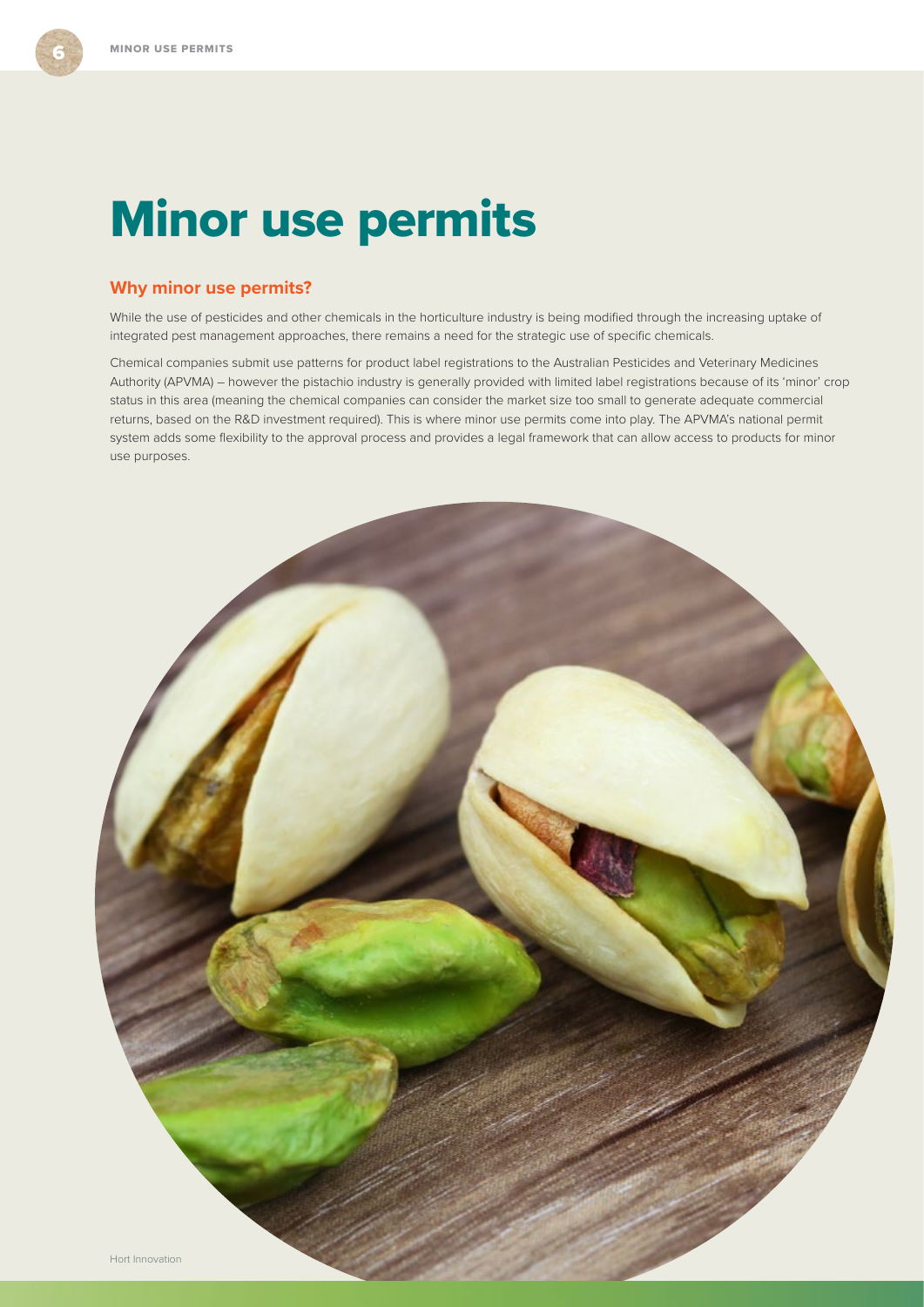# <span id="page-7-0"></span>Minor use permits

### **Why minor use permits?**

While the use of pesticides and other chemicals in the horticulture industry is being modified through the increasing uptake of integrated pest management approaches, there remains a need for the strategic use of specific chemicals.

Chemical companies submit use patterns for product label registrations to the Australian Pesticides and Veterinary Medicines Authority (APVMA) – however the pistachio industry is generally provided with limited label registrations because of its 'minor' crop status in this area (meaning the chemical companies can consider the market size too small to generate adequate commercial returns, based on the R&D investment required). This is where minor use permits come into play. The APVMA's national permit system adds some flexibility to the approval process and provides a legal framework that can allow access to products for minor use purposes.

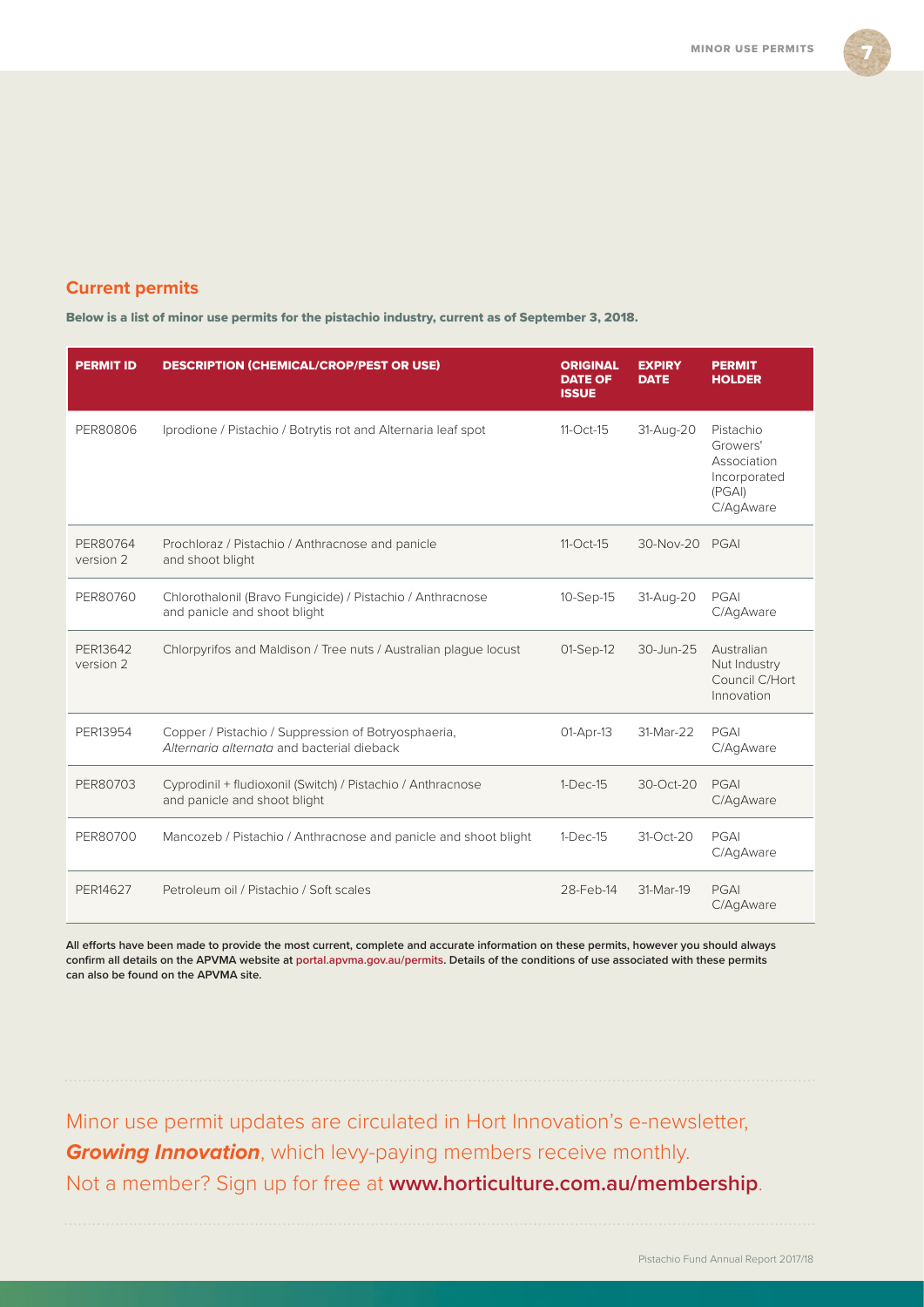

# **Current permits**

Below is a list of minor use permits for the pistachio industry, current as of September 3, 2018.

| <b>PERMIT ID</b>      | <b>DESCRIPTION (CHEMICAL/CROP/PEST OR USE)</b>                                                    | <b>ORIGINAL</b><br><b>DATE OF</b><br><b>ISSUE</b> | <b>EXPIRY</b><br><b>DATE</b> | <b>PERMIT</b><br><b>HOLDER</b>                                             |
|-----------------------|---------------------------------------------------------------------------------------------------|---------------------------------------------------|------------------------------|----------------------------------------------------------------------------|
| PER80806              | Iprodione / Pistachio / Botrytis rot and Alternaria leaf spot                                     | $11-Oct-15$                                       | 31-Aug-20                    | Pistachio<br>Growers'<br>Association<br>Incorporated<br>(PGA)<br>C/AgAware |
| PER80764<br>version 2 | Prochloraz / Pistachio / Anthracnose and panicle<br>and shoot blight                              | 11-Oct-15                                         | 30-Nov-20                    | PGAI                                                                       |
| PER80760              | Chlorothalonil (Bravo Fungicide) / Pistachio / Anthracnose<br>and panicle and shoot blight        | 10-Sep-15                                         | 31-Aug-20                    | PGAI<br>C/AgAware                                                          |
| PER13642<br>version 2 | Chlorpyrifos and Maldison / Tree nuts / Australian plague locust                                  | 01-Sep-12                                         | 30-Jun-25                    | Australian<br>Nut Industry<br>Council C/Hort<br>Innovation                 |
| PER13954              | Copper / Pistachio / Suppression of Botryosphaeria,<br>Alternaria alternata and bacterial dieback | 01-Apr-13                                         | 31-Mar-22                    | PGAI<br>C/AgAware                                                          |
| PER80703              | Cyprodinil + fludioxonil (Switch) / Pistachio / Anthracnose<br>and panicle and shoot blight       | $1-Dec-15$                                        | $30-Ort-20$                  | PGAI<br>C/AgAware                                                          |
| PER80700              | Mancozeb / Pistachio / Anthracnose and panicle and shoot blight                                   | $1-Dec-15$                                        | 31-Oct-20                    | PGAI<br>C/AgAware                                                          |
| PER14627              | Petroleum oil / Pistachio / Soft scales                                                           | 28-Feb-14                                         | 31-Mar-19                    | PGAI<br>C/AgAware                                                          |

**All efforts have been made to provide the most current, complete and accurate information on these permits, however you should always confirm all details on the APVMA website at [portal.apvma.gov.au/permits.](http://portal.apvma.gov.au/permits) Details of the conditions of use associated with these permits can also be found on the APVMA site.**

Minor use permit updates are circulated in Hort Innovation's e-newsletter, *Growing Innovation*, which levy-paying members receive monthly. Not a member? Sign up for free at **[www.horticulture.com.au/membership](http://www.horticulture.com.au/membership)**.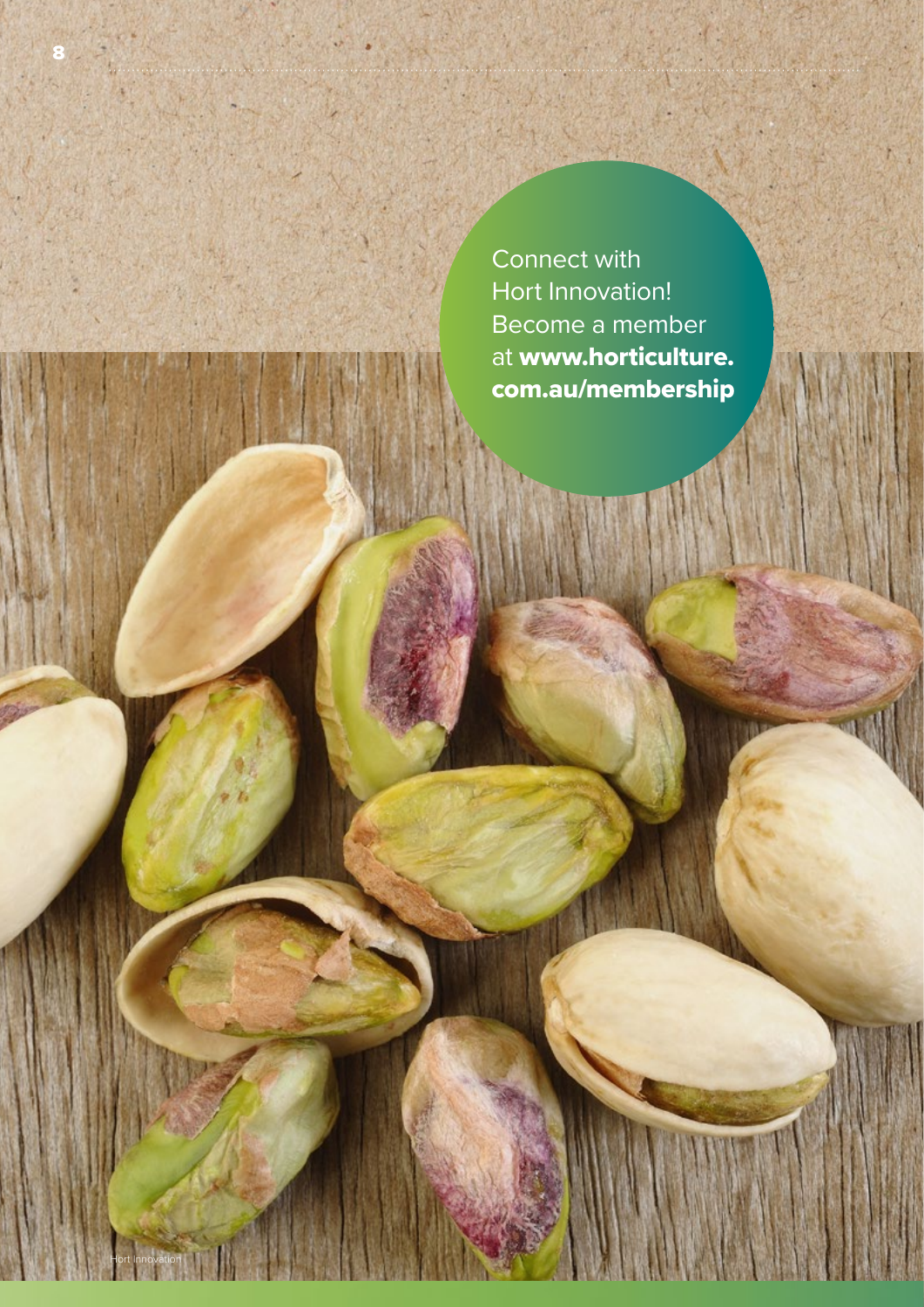Connect with Hort Innovation! Become a member at [www.horticulture.](http://www.horticulture.com.au/membership) [com.au/membership](http://www.horticulture.com.au/membership)

m (

8

Hort Innovation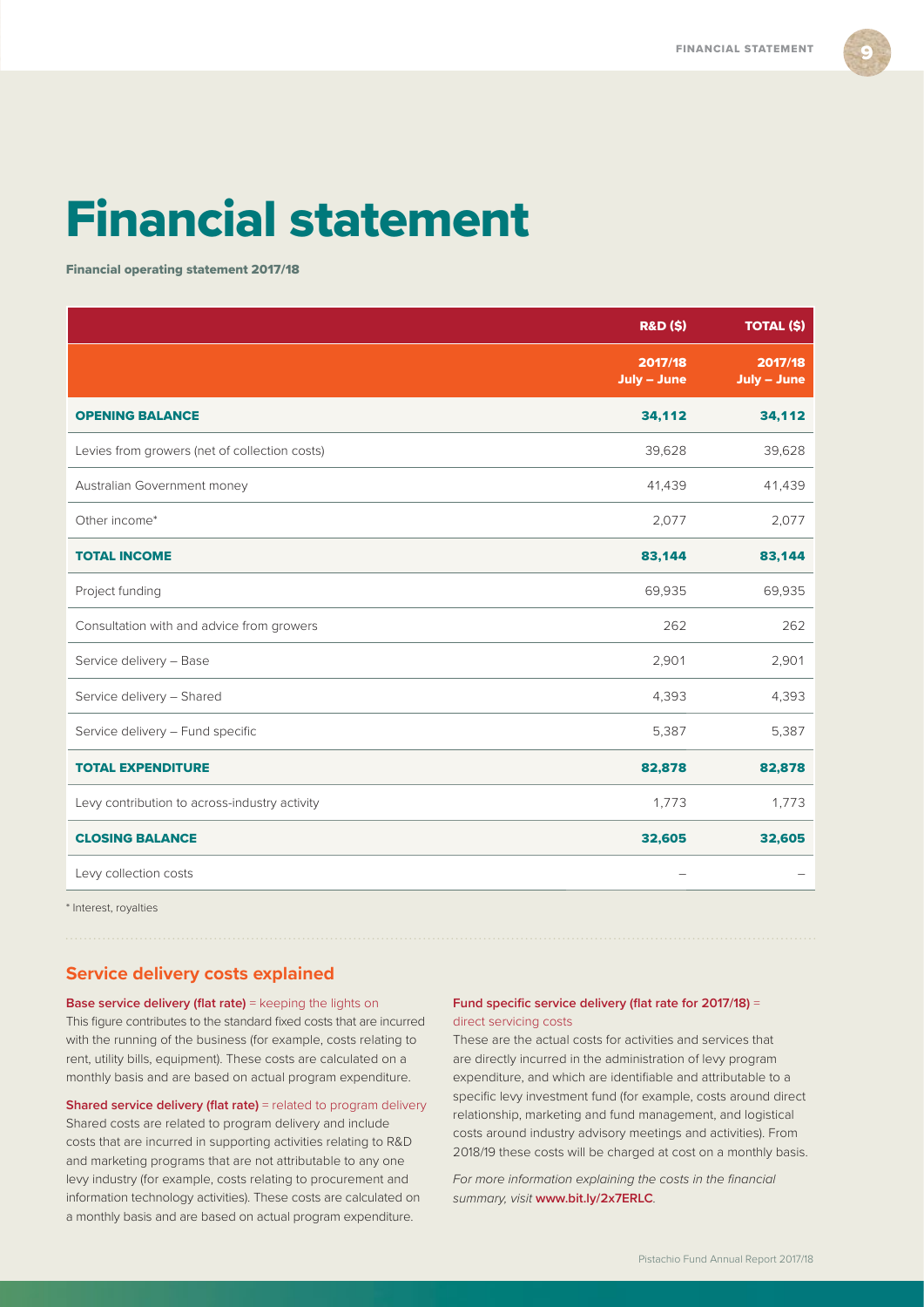9

# <span id="page-10-0"></span>Financial statement

Financial operating statement 2017/18

| <b>R&amp;D (\$)</b>    | <b>TOTAL (\$)</b>      |
|------------------------|------------------------|
| 2017/18<br>July - June | 2017/18<br>July - June |
| 34,112                 | 34,112                 |
| 39,628                 | 39,628                 |
| 41,439                 | 41,439                 |
| 2,077                  | 2,077                  |
| 83,144                 | 83,144                 |
| 69,935                 | 69,935                 |
| 262                    | 262                    |
| 2,901                  | 2,901                  |
| 4,393                  | 4,393                  |
| 5,387                  | 5,387                  |
| 82,878                 | 82,878                 |
| 1,773                  | 1,773                  |
| 32,605                 | 32,605                 |
|                        |                        |
|                        |                        |

\* Interest, royalties

#### **Service delivery costs explained**

**Base service delivery (flat rate)** = keeping the lights on This figure contributes to the standard fixed costs that are incurred with the running of the business (for example, costs relating to rent, utility bills, equipment). These costs are calculated on a monthly basis and are based on actual program expenditure.

**Shared service delivery (flat rate)** = related to program delivery Shared costs are related to program delivery and include costs that are incurred in supporting activities relating to R&D and marketing programs that are not attributable to any one levy industry (for example, costs relating to procurement and information technology activities). These costs are calculated on a monthly basis and are based on actual program expenditure.

#### **Fund specific service delivery (flat rate for 2017/18)** = direct servicing costs

These are the actual costs for activities and services that are directly incurred in the administration of levy program expenditure, and which are identifiable and attributable to a specific levy investment fund (for example, costs around direct relationship, marketing and fund management, and logistical costs around industry advisory meetings and activities). From 2018/19 these costs will be charged at cost on a monthly basis.

*For more information explaining the costs in the financial summary, visit* **[www.bit.ly/2x7ERLC](http://www.bit.ly/2x7ERLC)***.*